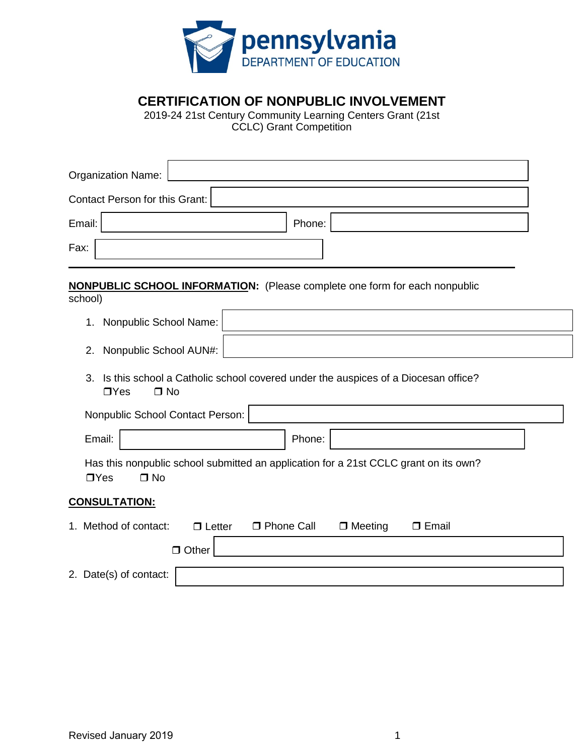

**CERTIFICATION OF NONPUBLIC INVOLVEMENT** 

 2019-24 21st Century Community Learning Centers Grant (21st CCLC) Grant Competition

| Organization Name:                                                                                                 |  |
|--------------------------------------------------------------------------------------------------------------------|--|
| Contact Person for this Grant:                                                                                     |  |
| Email:<br>Phone:                                                                                                   |  |
| Fax:                                                                                                               |  |
| <b>NONPUBLIC SCHOOL INFORMATION:</b> (Please complete one form for each nonpublic<br>school)                       |  |
| Nonpublic School Name:<br>1.                                                                                       |  |
| Nonpublic School AUN#:<br>2.                                                                                       |  |
| Is this school a Catholic school covered under the auspices of a Diocesan office?<br>3.<br>$\Box$ Yes<br>$\Box$ No |  |
| Nonpublic School Contact Person:                                                                                   |  |
| Email:<br>Phone:                                                                                                   |  |
| Has this nonpublic school submitted an application for a 21st CCLC grant on its own?<br>$\Box$ Yes<br>$\Box$ No    |  |
| <b>CONSULTATION:</b>                                                                                               |  |
| 1. Method of contact:<br><b>D</b> Phone Call<br>$\Box$ Meeting<br>$\Box$ Letter<br>$\Box$ Email<br>$\Box$ Other    |  |
| 2. Date(s) of contact:                                                                                             |  |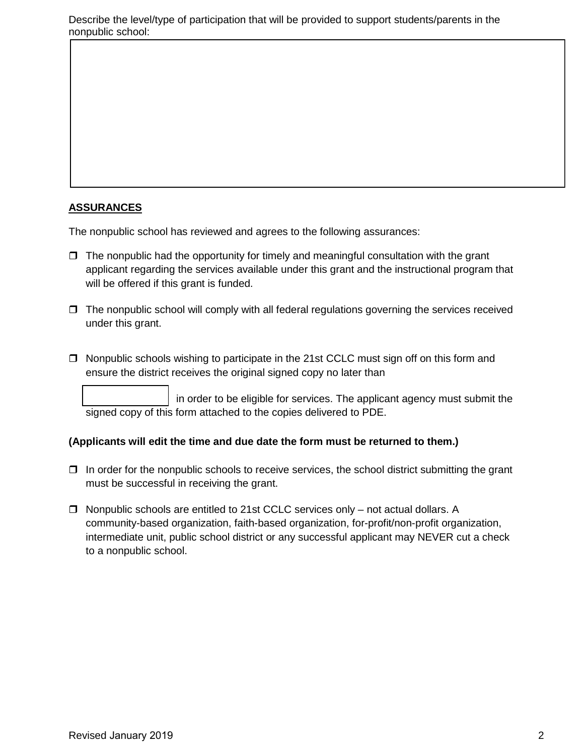## **ASSURANCES**

The nonpublic school has reviewed and agrees to the following assurances:

- applicant regarding the services available under this grant and the instructional program that will be offered if this grant is funded.  $\Box$  The nonpublic had the opportunity for timely and meaningful consultation with the grant
- $\Box$  The nonpublic school will comply with all federal regulations governing the services received under this grant.
- □ Nonpublic schools wishing to participate in the 21st CCLC must sign off on this form and ensure the district receives the original signed copy no later than

 signed copy of this form attached to the copies delivered to PDE. in order to be eligible for services. The applicant agency must submit the

## **(Applicants will edit the time and due date the form must be returned to them.)**

- $\Box$  In order for the nonpublic schools to receive services, the school district submitting the grant must be successful in receiving the grant.
- $\Box$  Nonpublic schools are entitled to 21st CCLC services only not actual dollars. A community-based organization, faith-based organization, for-profit/non-profit organization, intermediate unit, public school district or any successful applicant may NEVER cut a check to a nonpublic school.